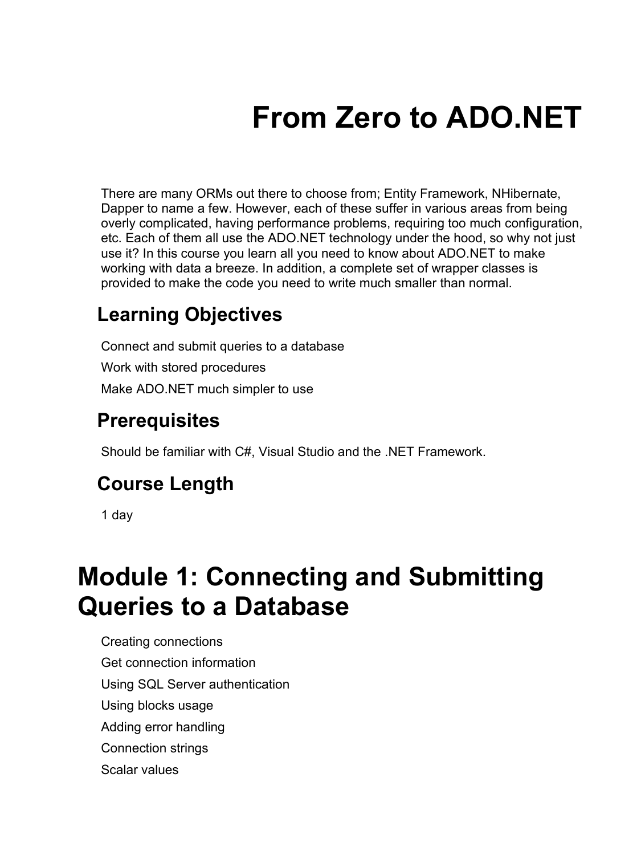# **From Zero to ADO.NET**

There are many ORMs out there to choose from; Entity Framework, NHibernate, Dapper to name a few. However, each of these suffer in various areas from being overly complicated, having performance problems, requiring too much configuration, etc. Each of them all use the ADO.NET technology under the hood, so why not just use it? In this course you learn all you need to know about ADO.NET to make working with data a breeze. In addition, a complete set of wrapper classes is provided to make the code you need to write much smaller than normal.

#### **Learning Objectives**

Connect and submit queries to a database Work with stored procedures Make ADO.NET much simpler to use

#### **Prerequisites**

Should be familiar with C#, Visual Studio and the .NET Framework.

#### **Course Length**

1 day

### **Module 1: Connecting and Submitting Queries to a Database**

Creating connections Get connection information Using SQL Server authentication Using blocks usage Adding error handling Connection strings Scalar values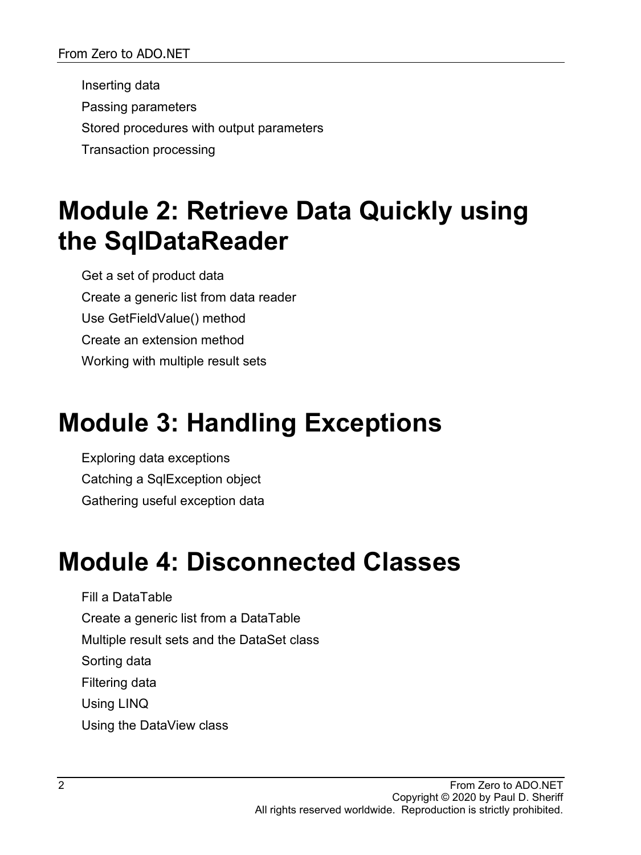Inserting data Passing parameters Stored procedures with output parameters Transaction processing

#### **Module 2: Retrieve Data Quickly using the SqlDataReader**

Get a set of product data Create a generic list from data reader Use GetFieldValue() method Create an extension method Working with multiple result sets

### **Module 3: Handling Exceptions**

Exploring data exceptions Catching a SqlException object Gathering useful exception data

### **Module 4: Disconnected Classes**

Fill a DataTable Create a generic list from a DataTable Multiple result sets and the DataSet class Sorting data Filtering data Using LINQ Using the DataView class